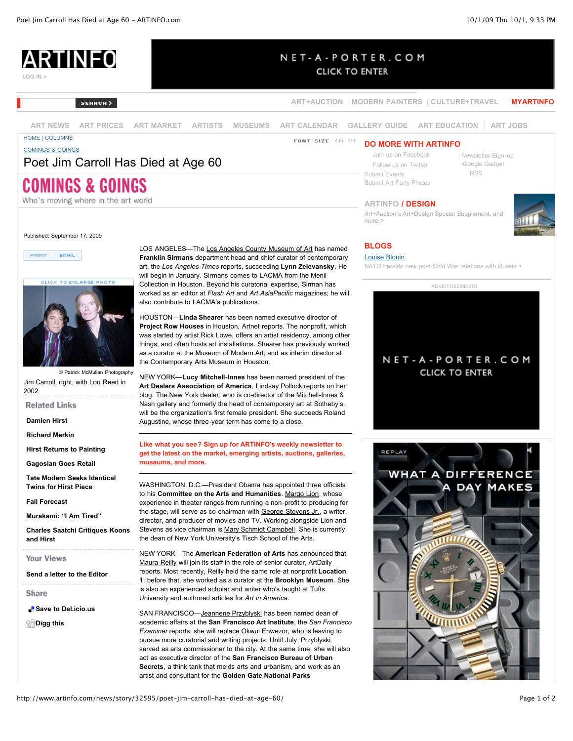[Newsletter Sign-up](http://www.artinfo.com/newsletter/) [iGoogle Gadget](http://www.artinfo.com/igooglegadgets/)  [RSS](http://www.artinfo.com/rss/)



## NET-A-PORTER.COM

**CLICK TO ENTER** 

**[ART+AUCTION](http://www.artinfo.com/artandauction/) [MODERN PAINTERS](http://www.artinfo.com/modernpainters/) [CULTURE+TRAVEL](http://www.artinfo.com/cultureandtravel/) [MYARTINFO](http://www.myartinfo.com/)**

 [Join us on Facebook](http://www.facebook.com/ARTINFO)  [Follow us on Twitter](http://twitter.com/artinfodotcom) [Submit Events](http://www.artinfo.com/contact/) [Submit Art Party Photos](http://www.artinfo.com/submitartpartyphotos/)

**ARTINFO / DESIGN**

**[ART NEWS](http://www.artinfo.com/news/) [ART PRICES](http://www.artinfo.com/artsalesindex/) [ART MARKET](http://www.artinfo.com/artmarket/) [ARTISTS](http://www.artinfo.com/artists/) [MUSEUMS](http://www.artinfo.com/museums/) [ART CALENDAR](http://www.artinfo.com/events/) [GALLERY GUIDE](http://www.artinfo.com/galleryguide/) [ART EDUCATION](http://www.artinfo.com/education/) [ART JOBS](http://www.artinfo.com/job/)**

SEARCH)

[HOME](http://www.artinfo.com/) | [COLUMNS](http://www.artinfo.com/news/category/2/columns/) [COMINGS & GOINGS](http://www.artinfo.com/news/category/35/comings-goings/)

## Poet Jim Carroll Has Died at Age 60

# COMINGS & GOINGS

Who's moving where in the art world

Published: September 17, 2009

PRINT EMAIL



© Patrick McMullan Photography Jim Carroll, right, with Lou Reed in 2002

**Related Links** 

**[Damien Hirst](http://www.artinfo.com/artists/profile/14/damien-hirst/)**

**[Richard Merkin](http://www.artinfo.com/artists/profile/121994/richard-merkin/)**

**[Hirst Returns to Painting](http://www.artinfo.com/news/story/32791/hirst-returns-to-painting/)**

**[Gagosian Goes Retail](http://www.artinfo.com/news/story/32676/gagosian-goes-retail/)**

**[Tate Modern Seeks Identical](http://www.artinfo.com/news/story/32574/tate-modern-seeks-identical-twins-for-hirst-piece/) Twins for Hirst Piece**

**[Fall Forecast](http://www.artinfo.com/news/story/32590/fall-forecast/)**

**[Murakami: "I Am Tired"](http://www.artinfo.com/news/story/32599/murakami-i-am-tired/)**

**[Charles Saatchi Critiques Koons](http://www.artinfo.com/news/story/32520/charles-saatchi-critiques-koons-and-hirst/) and Hirst**

**Your Views** 

**[Send a letter to the Editor](mailto:NewsEditors@ARTINFO.com)**

Share

**[Save to Del.icio.us](http://del.icio.us/post?url=http://www.artinfo.com/articles/story/32595/poet-jim-carroll-has-died-at-age-60/)** 

**SH**[Digg this](http://digg.com/submit?phase=2&url=http://www.artinfo.com/articles/story/32595/poet-jim-carroll-has-died-at-age-60/&title=Poet%20Jim%20Carroll%20Has%20Died%20at%20Age%2060&bodytext=%3Cdiv%20class=%22summary%22%3E%3Cdiv%20style=%22border-top:%201px%20solid%20%23000000;%20border-bottom:%201px%20solid%20%23000000;%20overflow:hidden%22%3E%20%3Cp%3E%3Ca%20href=%22/newsletter/%22%3ELike%20what%20you%20see?%20Sign%20up%20for%20ARTINFO&%2339;s%20weekly%20newsletter%20to%20get%20the%20latest%20on%20the%20market,%20emerging%20artists,%20auctions,%20galleries,%20museums,%20and%20more.%3C/a%3E%3C/div%3E%3C/div%3E&topic=art_news)

LOS ANGELES—The [Los Angeles County Museum of Art](http://www.artinfo.com/galleryguide/20183/6719/los-angeles-county-museum-of-art-los-angeles/) has named **Franklin Sirmans** department head and chief curator of contemporary art, the *Los Angeles Times* reports, succeeding **Lynn Zelevansky**. He will begin in January. Sirmans comes to LACMA from the Menil Collection in Houston. Beyond his curatorial expertise, Sirman has worked as an editor at *Flash Art* and *Art AsiaPacific* magazines; he will also contribute to LACMA's publications.

HOUSTON—**Linda Shearer** has been named executive director of **Project Row Houses** in Houston, Artnet reports. The nonprofit, which was started by artist Rick Lowe, offers an artist residency, among other things, and often hosts art installations. Shearer has previously worked as a curator at the Museum of Modern Art, and as interim director at the Contemporary Arts Museum in Houston.

NEW YORK—**Lucy Mitchell-Innes** has been named president of the **Art Dealers Association of America**, Lindsay Pollock reports on her blog. The New York dealer, who is co-director of the Mitchell-Innes & Nash gallery and formerly the head of contemporary art at Sotheby's, will be the organization's first female president. She succeeds Roland Augustine, whose three-year term has come to a close.

## **Like what you see? Sign up for ARTINFO's weekly newsletter to [get the latest on the market, emerging artists, auctions, galleries,](http://www.artinfo.com/newsletter/) museums, and more.**

WASHINGTON, D.C.—President Obama has appointed three officials to his **Committee on the Arts and Humanities**. [Margo Lion,](http://www.artinfo.com/search/results/?query=Margo+Lion) whose experience in theater ranges from running a non-profit to producing for the stage, will serve as co-chairman with [George Stevens Jr.,](http://www.artinfo.com/search/results/?query=George+Stevens+Jr.) a writer, director, and producer of movies and TV. Working alongside Lion and Stevens as vice chairman is [Mary Schmidt Campbell](http://www.artinfo.com/search/results/?query=Mary+Schmidt+Campbell). She is currently the dean of New York University's Tisch School of the Arts.

NEW YORK—The **American Federation of Arts** has announced that [Maura Reilly](http://www.artinfo.com/search/results/?query=Maura+Reilly) will join its staff in the role of senior curator, ArtDaily reports. Most recently, Reilly held the same role at nonprofit **Location 1**; before that, she worked as a curator at the **Brooklyn Museum**. She is also an experienced scholar and writer who's taught at Tufts University and authored articles for *Art in America*.

SAN FRANCISCO—[Jeannene Przyblyski](http://www.artinfo.com/search/results/?query=Jeannene+Przyblyski) has been named dean of academic affairs at the **San Francisco Art Institute**, the *San Francisco Examiner* reports; she will replace Okwui Enwezor, who is leaving to pursue more curatorial and writing projects. Until July, Przyblyski served as arts commissioner to the city. At the same time, she will also act as executive director of the **San Francisco Bureau of Urban Secrets**, a think tank that melds arts and urbanism, and work as an artist and consultant for the **Golden Gate National Parks**

## **BLOGS**

more >

**DO MORE WITH ARTINFO**

### [Louise Blouin](http://www.louiseblouinmacbain.com/)

[NATO heralds new post-Cold War relations with Russia >](http://www.louiseblouinmacbain.com/)

*Art+Auction*['s Art+Design Special Supplement, and](http://www.artinfo.com/design/)